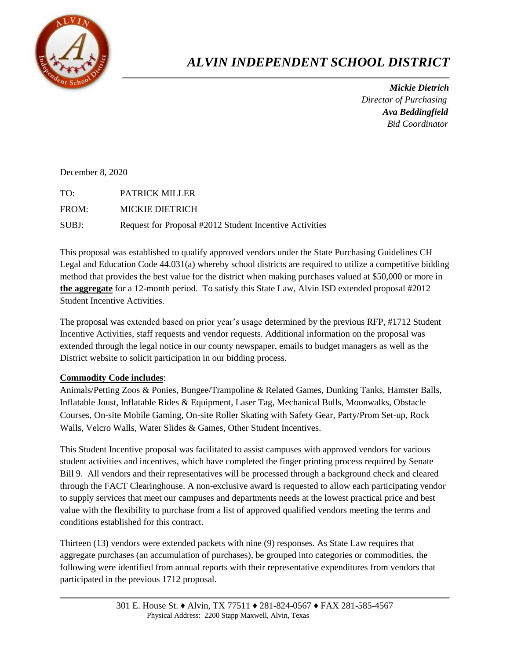

## *ALVIN INDEPENDENT SCHOOL DISTRICT*

 *Mickie Dietrich Director of Purchasing Ava Beddingfield Bid Coordinator*

December 8, 2020

TO: PATRICK MILLER FROM: MICKIE DIETRICH SUBJ: Request for Proposal #2012 Student Incentive Activities

This proposal was established to qualify approved vendors under the State Purchasing Guidelines CH Legal and Education Code 44.031(a) whereby school districts are required to utilize a competitive bidding method that provides the best value for the district when making purchases valued at \$50,000 or more in **the aggregate** for a 12-month period. To satisfy this State Law, Alvin ISD extended proposal #2012 Student Incentive Activities.

The proposal was extended based on prior year's usage determined by the previous RFP, #1712 Student Incentive Activities, staff requests and vendor requests. Additional information on the proposal was extended through the legal notice in our county newspaper, emails to budget managers as well as the District website to solicit participation in our bidding process.

## **Commodity Code includes**:

Animals/Petting Zoos & Ponies, Bungee/Trampoline & Related Games, Dunking Tanks, Hamster Balls, Inflatable Joust, Inflatable Rides & Equipment, Laser Tag, Mechanical Bulls, Moonwalks, Obstacle Courses, On-site Mobile Gaming, On-site Roller Skating with Safety Gear, Party/Prom Set-up, Rock Walls, Velcro Walls, Water Slides & Games, Other Student Incentives.

This Student Incentive proposal was facilitated to assist campuses with approved vendors for various student activities and incentives, which have completed the finger printing process required by Senate Bill 9. All vendors and their representatives will be processed through a background check and cleared through the FACT Clearinghouse. A non-exclusive award is requested to allow each participating vendor to supply services that meet our campuses and departments needs at the lowest practical price and best value with the flexibility to purchase from a list of approved qualified vendors meeting the terms and conditions established for this contract.

Thirteen (13) vendors were extended packets with nine (9) responses. As State Law requires that aggregate purchases (an accumulation of purchases), be grouped into categories or commodities, the following were identified from annual reports with their representative expenditures from vendors that participated in the previous 1712 proposal.